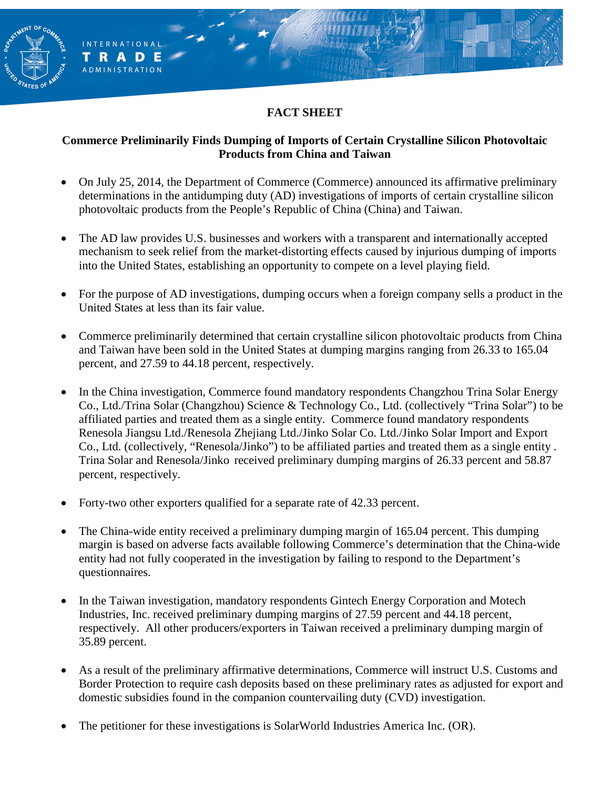## **FACT SHEET**

**RENT OF** 

**INTERNATIONAL** TRADE **ADMINISTRATION** 

#### **Commerce Preliminarily Finds Dumping of Imports of Certain Crystalline Silicon Photovoltaic Products from China and Taiwan**

- On July 25, 2014, the Department of Commerce (Commerce) announced its affirmative preliminary determinations in the antidumping duty (AD) investigations of imports of certain crystalline silicon photovoltaic products from the People's Republic of China (China) and Taiwan.
- The AD law provides U.S. businesses and workers with a transparent and internationally accepted mechanism to seek relief from the market-distorting effects caused by injurious dumping of imports into the United States, establishing an opportunity to compete on a level playing field.
- For the purpose of AD investigations, dumping occurs when a foreign company sells a product in the United States at less than its fair value.
- Commerce preliminarily determined that certain crystalline silicon photovoltaic products from China and Taiwan have been sold in the United States at dumping margins ranging from 26.33 to 165.04 percent, and 27.59 to 44.18 percent, respectively.
- In the China investigation, Commerce found mandatory respondents Changzhou Trina Solar Energy Co., Ltd./Trina Solar (Changzhou) Science & Technology Co., Ltd. (collectively "Trina Solar") to be affiliated parties and treated them as a single entity. Commerce found mandatory respondents Renesola Jiangsu Ltd./Renesola Zhejiang Ltd./Jinko Solar Co. Ltd./Jinko Solar Import and Export Co., Ltd. (collectively, "Renesola/Jinko") to be affiliated parties and treated them as a single entity . Trina Solar and Renesola/Jinko received preliminary dumping margins of 26.33 percent and 58.87 percent, respectively.
- Forty-two other exporters qualified for a separate rate of 42.33 percent.
- The China-wide entity received a preliminary dumping margin of 165.04 percent. This dumping margin is based on adverse facts available following Commerce's determination that the China-wide entity had not fully cooperated in the investigation by failing to respond to the Department's questionnaires.
- In the Taiwan investigation, mandatory respondents Gintech Energy Corporation and Motech Industries, Inc. received preliminary dumping margins of 27.59 percent and 44.18 percent, respectively. All other producers/exporters in Taiwan received a preliminary dumping margin of 35.89 percent.
- As a result of the preliminary affirmative determinations, Commerce will instruct U.S. Customs and Border Protection to require cash deposits based on these preliminary rates as adjusted for export and domestic subsidies found in the companion countervailing duty (CVD) investigation.
- The petitioner for these investigations is SolarWorld Industries America Inc. (OR).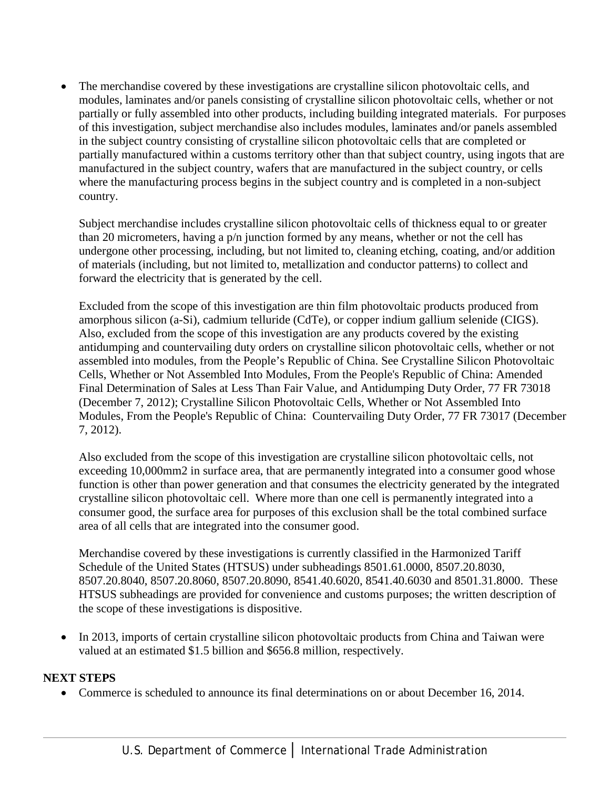• The merchandise covered by these investigations are crystalline silicon photovoltaic cells, and modules, laminates and/or panels consisting of crystalline silicon photovoltaic cells, whether or not partially or fully assembled into other products, including building integrated materials. For purposes of this investigation, subject merchandise also includes modules, laminates and/or panels assembled in the subject country consisting of crystalline silicon photovoltaic cells that are completed or partially manufactured within a customs territory other than that subject country, using ingots that are manufactured in the subject country, wafers that are manufactured in the subject country, or cells where the manufacturing process begins in the subject country and is completed in a non-subject country.

Subject merchandise includes crystalline silicon photovoltaic cells of thickness equal to or greater than 20 micrometers, having a p/n junction formed by any means, whether or not the cell has undergone other processing, including, but not limited to, cleaning etching, coating, and/or addition of materials (including, but not limited to, metallization and conductor patterns) to collect and forward the electricity that is generated by the cell.

Excluded from the scope of this investigation are thin film photovoltaic products produced from amorphous silicon (a-Si), cadmium telluride (CdTe), or copper indium gallium selenide (CIGS). Also, excluded from the scope of this investigation are any products covered by the existing antidumping and countervailing duty orders on crystalline silicon photovoltaic cells, whether or not assembled into modules, from the People's Republic of China. See Crystalline Silicon Photovoltaic Cells, Whether or Not Assembled Into Modules, From the People's Republic of China: Amended Final Determination of Sales at Less Than Fair Value, and Antidumping Duty Order, 77 FR 73018 (December 7, 2012); Crystalline Silicon Photovoltaic Cells, Whether or Not Assembled Into Modules, From the People's Republic of China: Countervailing Duty Order, 77 FR 73017 (December 7, 2012).

Also excluded from the scope of this investigation are crystalline silicon photovoltaic cells, not exceeding 10,000mm2 in surface area, that are permanently integrated into a consumer good whose function is other than power generation and that consumes the electricity generated by the integrated crystalline silicon photovoltaic cell. Where more than one cell is permanently integrated into a consumer good, the surface area for purposes of this exclusion shall be the total combined surface area of all cells that are integrated into the consumer good.

Merchandise covered by these investigations is currently classified in the Harmonized Tariff Schedule of the United States (HTSUS) under subheadings 8501.61.0000, 8507.20.8030, 8507.20.8040, 8507.20.8060, 8507.20.8090, 8541.40.6020, 8541.40.6030 and 8501.31.8000. These HTSUS subheadings are provided for convenience and customs purposes; the written description of the scope of these investigations is dispositive.

• In 2013, imports of certain crystalline silicon photovoltaic products from China and Taiwan were valued at an estimated \$1.5 billion and \$656.8 million, respectively.

### **NEXT STEPS**

• Commerce is scheduled to announce its final determinations on or about December 16, 2014.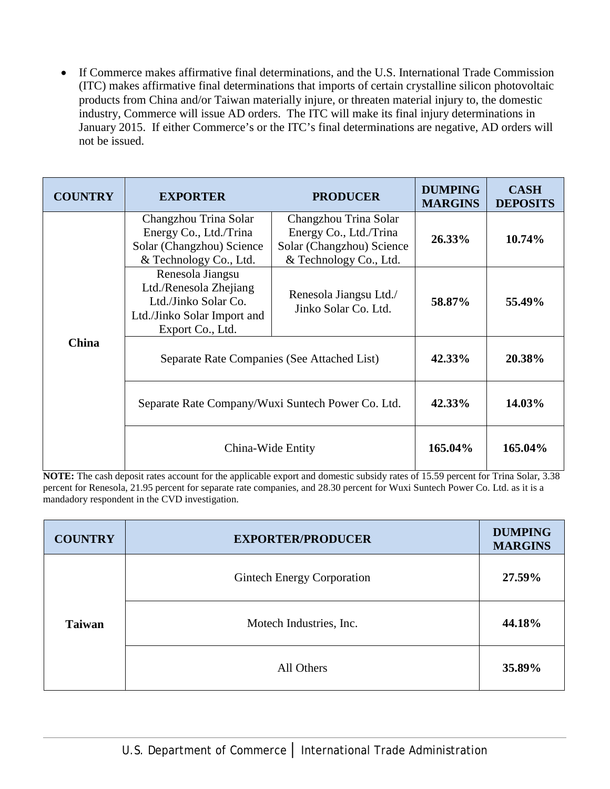• If Commerce makes affirmative final determinations, and the U.S. International Trade Commission (ITC) makes affirmative final determinations that imports of certain crystalline silicon photovoltaic products from China and/or Taiwan materially injure, or threaten material injury to, the domestic industry, Commerce will issue AD orders. The ITC will make its final injury determinations in January 2015. If either Commerce's or the ITC's final determinations are negative, AD orders will not be issued.

| <b>COUNTRY</b> | <b>EXPORTER</b>                                                                                                       | <b>PRODUCER</b>                                                                                        | <b>DUMPING</b><br><b>MARGINS</b> | <b>CASH</b><br><b>DEPOSITS</b> |
|----------------|-----------------------------------------------------------------------------------------------------------------------|--------------------------------------------------------------------------------------------------------|----------------------------------|--------------------------------|
|                | Changzhou Trina Solar<br>Energy Co., Ltd./Trina<br>Solar (Changzhou) Science<br>& Technology Co., Ltd.                | Changzhou Trina Solar<br>Energy Co., Ltd./Trina<br>Solar (Changzhou) Science<br>& Technology Co., Ltd. | 26.33%                           | 10.74%                         |
|                | Renesola Jiangsu<br>Ltd./Renesola Zhejiang<br>Ltd./Jinko Solar Co.<br>Ltd./Jinko Solar Import and<br>Export Co., Ltd. | Renesola Jiangsu Ltd./<br>Jinko Solar Co. Ltd.                                                         | 58.87%                           | 55.49%                         |
| China          | Separate Rate Companies (See Attached List)                                                                           |                                                                                                        | 42.33%                           | 20.38%                         |
|                | Separate Rate Company/Wuxi Suntech Power Co. Ltd.                                                                     |                                                                                                        | 42.33%                           | 14.03%                         |
|                | China-Wide Entity                                                                                                     |                                                                                                        | 165.04%                          | 165.04%                        |

**NOTE:** The cash deposit rates account for the applicable export and domestic subsidy rates of 15.59 percent for Trina Solar, 3.38 percent for Renesola, 21.95 percent for separate rate companies, and 28.30 percent for Wuxi Suntech Power Co. Ltd. as it is a mandadory respondent in the CVD investigation.

| <b>COUNTRY</b> | <b>EXPORTER/PRODUCER</b>   | <b>DUMPING</b><br><b>MARGINS</b> |
|----------------|----------------------------|----------------------------------|
| <b>Taiwan</b>  | Gintech Energy Corporation | 27.59%                           |
|                | Motech Industries, Inc.    | 44.18%                           |
|                | All Others                 | 35.89%                           |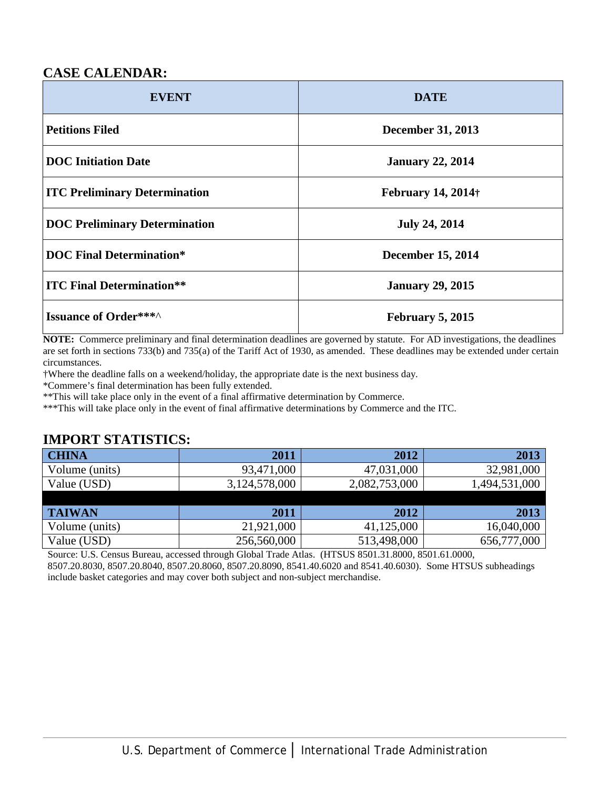# **CASE CALENDAR:**

| <b>EVENT</b>                         | <b>DATE</b>                |  |
|--------------------------------------|----------------------------|--|
| <b>Petitions Filed</b>               | <b>December 31, 2013</b>   |  |
| <b>DOC</b> Initiation Date           | <b>January 22, 2014</b>    |  |
| <b>ITC Preliminary Determination</b> | <b>February 14, 2014</b> † |  |
| <b>DOC Preliminary Determination</b> | <b>July 24, 2014</b>       |  |
| <b>DOC Final Determination*</b>      | <b>December 15, 2014</b>   |  |
| <b>ITC Final Determination**</b>     | <b>January 29, 2015</b>    |  |
| <b>Issuance of Order***^</b>         | <b>February 5, 2015</b>    |  |

**NOTE:** Commerce preliminary and final determination deadlines are governed by statute. For AD investigations, the deadlines are set forth in sections 733(b) and 735(a) of the Tariff Act of 1930, as amended. These deadlines may be extended under certain circumstances.

†Where the deadline falls on a weekend/holiday, the appropriate date is the next business day.

\*Commere's final determination has been fully extended.

\*\*This will take place only in the event of a final affirmative determination by Commerce.

\*\*\*This will take place only in the event of final affirmative determinations by Commerce and the ITC.

## **IMPORT STATISTICS:**

| <b>CHINA</b>   | 2011          | 2012          | 2013          |
|----------------|---------------|---------------|---------------|
| Volume (units) | 93,471,000    | 47,031,000    | 32,981,000    |
| Value (USD)    | 3,124,578,000 | 2,082,753,000 | 1,494,531,000 |
|                |               |               |               |
| <b>TAIWAN</b>  | 2011          | 2012          | 2013          |
| Volume (units) | 21,921,000    | 41,125,000    | 16,040,000    |
| Value (USD)    | 256,560,000   | 513,498,000   | 656,777,000   |

Source: U.S. Census Bureau, accessed through Global Trade Atlas. (HTSUS 8501.31.8000, 8501.61.0000,

8507.20.8030, 8507.20.8040, 8507.20.8060, 8507.20.8090, 8541.40.6020 and 8541.40.6030). Some HTSUS subheadings include basket categories and may cover both subject and non-subject merchandise.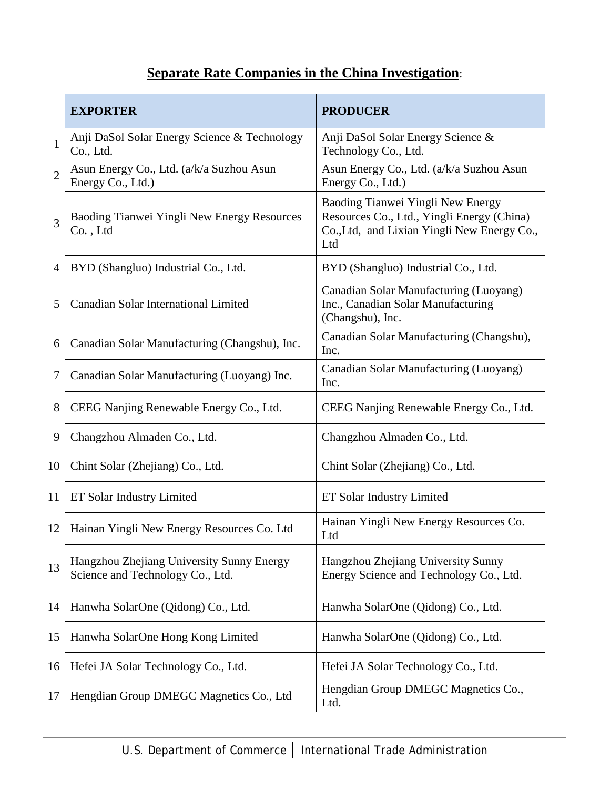# **Separate Rate Companies in the China Investigation**:

|                | <b>EXPORTER</b>                                                               | <b>PRODUCER</b>                                                                                                                       |
|----------------|-------------------------------------------------------------------------------|---------------------------------------------------------------------------------------------------------------------------------------|
| $\mathbf{1}$   | Anji DaSol Solar Energy Science & Technology<br>Co., Ltd.                     | Anji DaSol Solar Energy Science &<br>Technology Co., Ltd.                                                                             |
| $\overline{2}$ | Asun Energy Co., Ltd. (a/k/a Suzhou Asun<br>Energy Co., Ltd.)                 | Asun Energy Co., Ltd. (a/k/a Suzhou Asun<br>Energy Co., Ltd.)                                                                         |
| 3              | Baoding Tianwei Yingli New Energy Resources<br>Co., Ltd                       | Baoding Tianwei Yingli New Energy<br>Resources Co., Ltd., Yingli Energy (China)<br>Co., Ltd, and Lixian Yingli New Energy Co.,<br>Ltd |
| 4              | BYD (Shangluo) Industrial Co., Ltd.                                           | BYD (Shangluo) Industrial Co., Ltd.                                                                                                   |
| 5              | Canadian Solar International Limited                                          | Canadian Solar Manufacturing (Luoyang)<br>Inc., Canadian Solar Manufacturing<br>(Changshu), Inc.                                      |
| 6              | Canadian Solar Manufacturing (Changshu), Inc.                                 | Canadian Solar Manufacturing (Changshu),<br>Inc.                                                                                      |
| $\tau$         | Canadian Solar Manufacturing (Luoyang) Inc.                                   | Canadian Solar Manufacturing (Luoyang)<br>Inc.                                                                                        |
| 8              | CEEG Nanjing Renewable Energy Co., Ltd.                                       | CEEG Nanjing Renewable Energy Co., Ltd.                                                                                               |
| 9              | Changzhou Almaden Co., Ltd.                                                   | Changzhou Almaden Co., Ltd.                                                                                                           |
| 10             | Chint Solar (Zhejiang) Co., Ltd.                                              | Chint Solar (Zhejiang) Co., Ltd.                                                                                                      |
| 11             | ET Solar Industry Limited                                                     | ET Solar Industry Limited                                                                                                             |
| 12             | Hainan Yingli New Energy Resources Co. Ltd                                    | Hainan Yingli New Energy Resources Co.<br>Ltd                                                                                         |
| 13             | Hangzhou Zhejiang University Sunny Energy<br>Science and Technology Co., Ltd. | Hangzhou Zhejiang University Sunny<br>Energy Science and Technology Co., Ltd.                                                         |
| 14             | Hanwha SolarOne (Qidong) Co., Ltd.                                            | Hanwha SolarOne (Qidong) Co., Ltd.                                                                                                    |
| 15             | Hanwha SolarOne Hong Kong Limited                                             | Hanwha SolarOne (Qidong) Co., Ltd.                                                                                                    |
| 16             | Hefei JA Solar Technology Co., Ltd.                                           | Hefei JA Solar Technology Co., Ltd.                                                                                                   |
| 17             | Hengdian Group DMEGC Magnetics Co., Ltd                                       | Hengdian Group DMEGC Magnetics Co.,<br>Ltd.                                                                                           |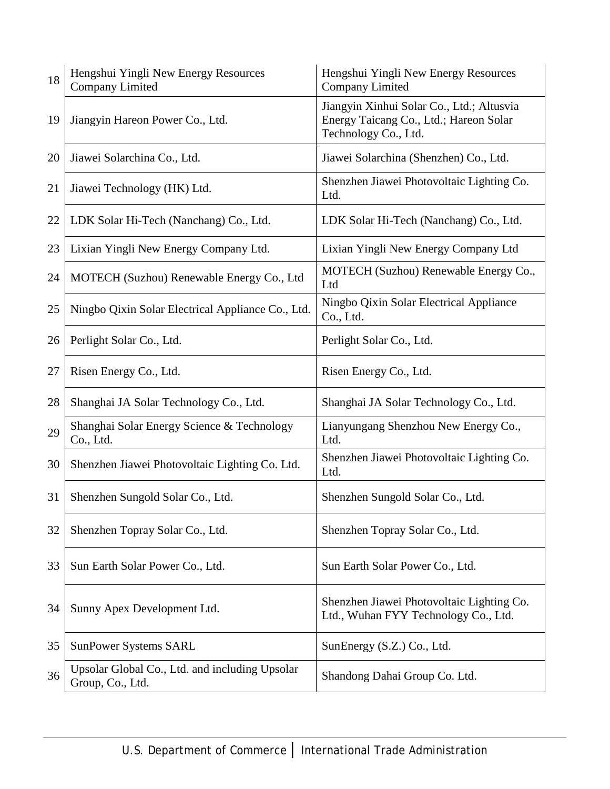| 18 | Hengshui Yingli New Energy Resources<br><b>Company Limited</b>     | Hengshui Yingli New Energy Resources<br><b>Company Limited</b>                                              |
|----|--------------------------------------------------------------------|-------------------------------------------------------------------------------------------------------------|
| 19 | Jiangyin Hareon Power Co., Ltd.                                    | Jiangyin Xinhui Solar Co., Ltd.; Altusvia<br>Energy Taicang Co., Ltd.; Hareon Solar<br>Technology Co., Ltd. |
| 20 | Jiawei Solarchina Co., Ltd.                                        | Jiawei Solarchina (Shenzhen) Co., Ltd.                                                                      |
| 21 | Jiawei Technology (HK) Ltd.                                        | Shenzhen Jiawei Photovoltaic Lighting Co.<br>Ltd.                                                           |
| 22 | LDK Solar Hi-Tech (Nanchang) Co., Ltd.                             | LDK Solar Hi-Tech (Nanchang) Co., Ltd.                                                                      |
| 23 | Lixian Yingli New Energy Company Ltd.                              | Lixian Yingli New Energy Company Ltd                                                                        |
| 24 | MOTECH (Suzhou) Renewable Energy Co., Ltd                          | MOTECH (Suzhou) Renewable Energy Co.,<br>Ltd                                                                |
| 25 | Ningbo Qixin Solar Electrical Appliance Co., Ltd.                  | Ningbo Qixin Solar Electrical Appliance<br>Co., Ltd.                                                        |
| 26 | Perlight Solar Co., Ltd.                                           | Perlight Solar Co., Ltd.                                                                                    |
| 27 | Risen Energy Co., Ltd.                                             | Risen Energy Co., Ltd.                                                                                      |
| 28 | Shanghai JA Solar Technology Co., Ltd.                             | Shanghai JA Solar Technology Co., Ltd.                                                                      |
| 29 | Shanghai Solar Energy Science & Technology<br>Co., Ltd.            | Lianyungang Shenzhou New Energy Co.,<br>Ltd.                                                                |
| 30 | Shenzhen Jiawei Photovoltaic Lighting Co. Ltd.                     | Shenzhen Jiawei Photovoltaic Lighting Co.<br>Ltd.                                                           |
| 31 | Shenzhen Sungold Solar Co., Ltd.                                   | Shenzhen Sungold Solar Co., Ltd.                                                                            |
| 32 | Shenzhen Topray Solar Co., Ltd.                                    | Shenzhen Topray Solar Co., Ltd.                                                                             |
| 33 | Sun Earth Solar Power Co., Ltd.                                    | Sun Earth Solar Power Co., Ltd.                                                                             |
| 34 | Sunny Apex Development Ltd.                                        | Shenzhen Jiawei Photovoltaic Lighting Co.<br>Ltd., Wuhan FYY Technology Co., Ltd.                           |
| 35 | <b>SunPower Systems SARL</b>                                       | SunEnergy (S.Z.) Co., Ltd.                                                                                  |
| 36 | Upsolar Global Co., Ltd. and including Upsolar<br>Group, Co., Ltd. | Shandong Dahai Group Co. Ltd.                                                                               |